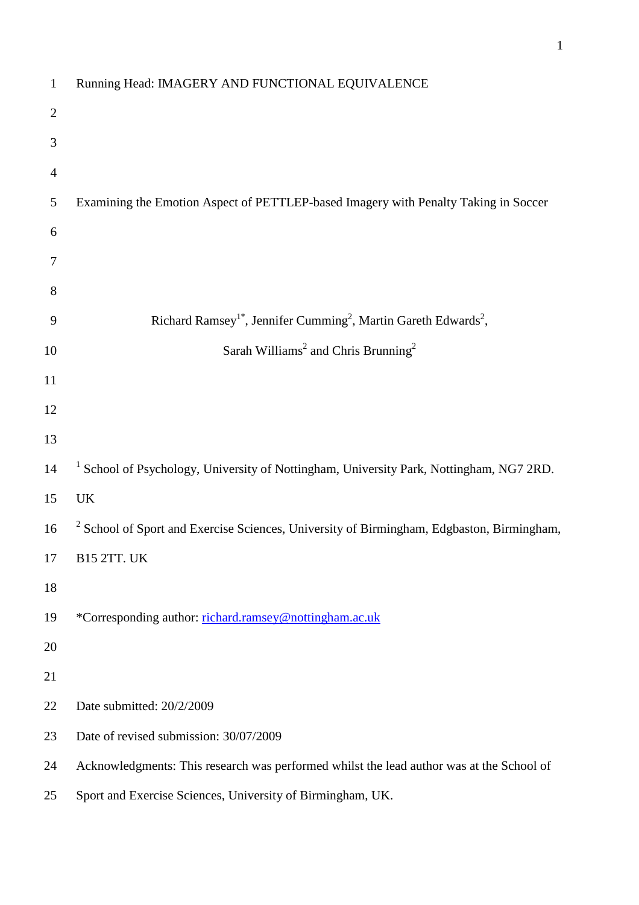| $\mathbf{1}$   | Running Head: IMAGERY AND FUNCTIONAL EQUIVALENCE                                                     |
|----------------|------------------------------------------------------------------------------------------------------|
| $\overline{2}$ |                                                                                                      |
| 3              |                                                                                                      |
| 4              |                                                                                                      |
| 5              | Examining the Emotion Aspect of PETTLEP-based Imagery with Penalty Taking in Soccer                  |
| 6              |                                                                                                      |
| 7              |                                                                                                      |
| 8              |                                                                                                      |
| 9              | Richard Ramsey <sup>1*</sup> , Jennifer Cumming <sup>2</sup> , Martin Gareth Edwards <sup>2</sup> ,  |
| 10             | Sarah Williams <sup>2</sup> and Chris Brunning <sup>2</sup>                                          |
| 11             |                                                                                                      |
| 12             |                                                                                                      |
| 13             |                                                                                                      |
| 14             | <sup>1</sup> School of Psychology, University of Nottingham, University Park, Nottingham, NG7 2RD.   |
| 15             | <b>UK</b>                                                                                            |
| 16             | <sup>2</sup> School of Sport and Exercise Sciences, University of Birmingham, Edgbaston, Birmingham, |
| 17             | <b>B15 2TT. UK</b>                                                                                   |
| 18             |                                                                                                      |
| 19             | *Corresponding author: richard.ramsey@nottingham.ac.uk                                               |
| 20             |                                                                                                      |
| 21             |                                                                                                      |
| 22             | Date submitted: 20/2/2009                                                                            |
| 23             | Date of revised submission: 30/07/2009                                                               |
| 24             | Acknowledgments: This research was performed whilst the lead author was at the School of             |
| 25             | Sport and Exercise Sciences, University of Birmingham, UK.                                           |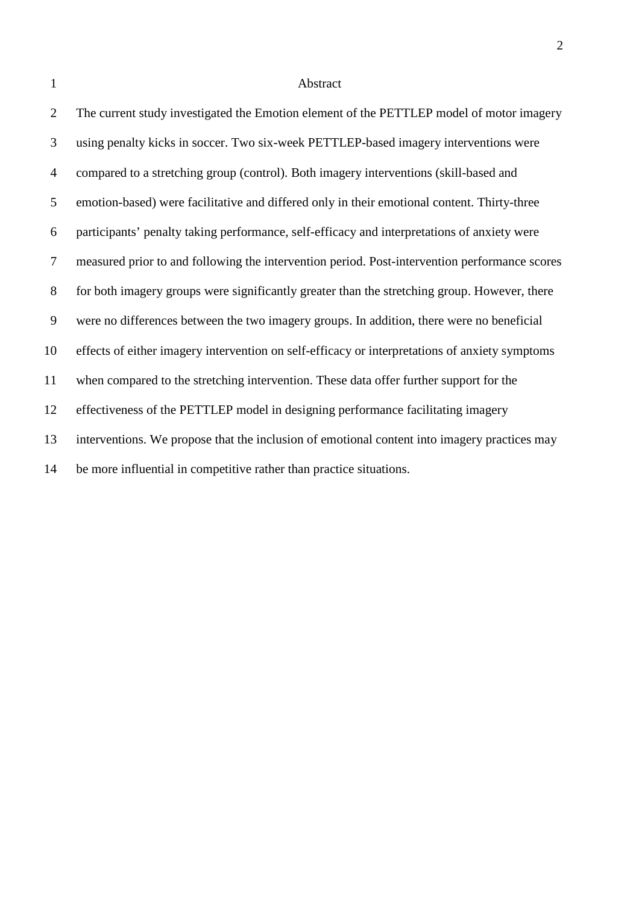#### Abstract

 The current study investigated the Emotion element of the PETTLEP model of motor imagery using penalty kicks in soccer. Two six-week PETTLEP-based imagery interventions were compared to a stretching group (control). Both imagery interventions (skill-based and emotion-based) were facilitative and differed only in their emotional content. Thirty-three participants' penalty taking performance, self-efficacy and interpretations of anxiety were measured prior to and following the intervention period. Post-intervention performance scores for both imagery groups were significantly greater than the stretching group. However, there were no differences between the two imagery groups. In addition, there were no beneficial effects of either imagery intervention on self-efficacy or interpretations of anxiety symptoms when compared to the stretching intervention. These data offer further support for the effectiveness of the PETTLEP model in designing performance facilitating imagery interventions. We propose that the inclusion of emotional content into imagery practices may be more influential in competitive rather than practice situations.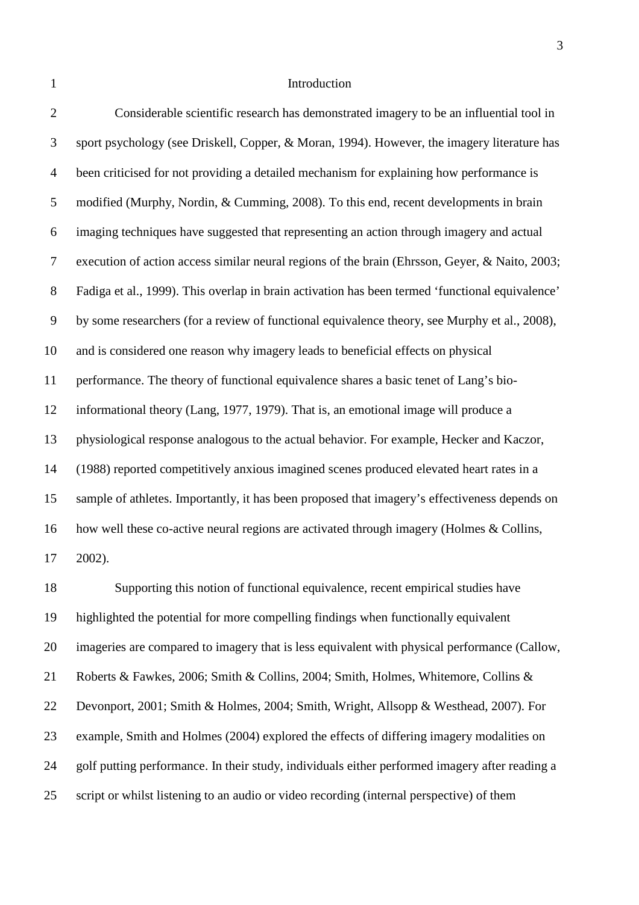#### 1 Introduction

 Considerable scientific research has demonstrated imagery to be an influential tool in sport psychology (see Driskell, Copper, & Moran, 1994). However, the imagery literature has been criticised for not providing a detailed mechanism for explaining how performance is modified (Murphy, Nordin, & Cumming, 2008). To this end, recent developments in brain imaging techniques have suggested that representing an action through imagery and actual execution of action access similar neural regions of the brain (Ehrsson, Geyer, & Naito, 2003; Fadiga et al., 1999). This overlap in brain activation has been termed 'functional equivalence' by some researchers (for a review of functional equivalence theory, see Murphy et al., 2008), and is considered one reason why imagery leads to beneficial effects on physical performance. The theory of functional equivalence shares a basic tenet of Lang's bio- informational theory (Lang, 1977, 1979). That is, an emotional image will produce a physiological response analogous to the actual behavior. For example, Hecker and Kaczor, (1988) reported competitively anxious imagined scenes produced elevated heart rates in a sample of athletes. Importantly, it has been proposed that imagery's effectiveness depends on how well these co-active neural regions are activated through imagery (Holmes & Collins, 2002).

 Supporting this notion of functional equivalence, recent empirical studies have highlighted the potential for more compelling findings when functionally equivalent imageries are compared to imagery that is less equivalent with physical performance (Callow, Roberts & Fawkes, 2006; Smith & Collins, 2004; Smith, Holmes, Whitemore, Collins & Devonport, 2001; Smith & Holmes, 2004; Smith, Wright, Allsopp & Westhead, 2007). For example, Smith and Holmes (2004) explored the effects of differing imagery modalities on golf putting performance. In their study, individuals either performed imagery after reading a script or whilst listening to an audio or video recording (internal perspective) of them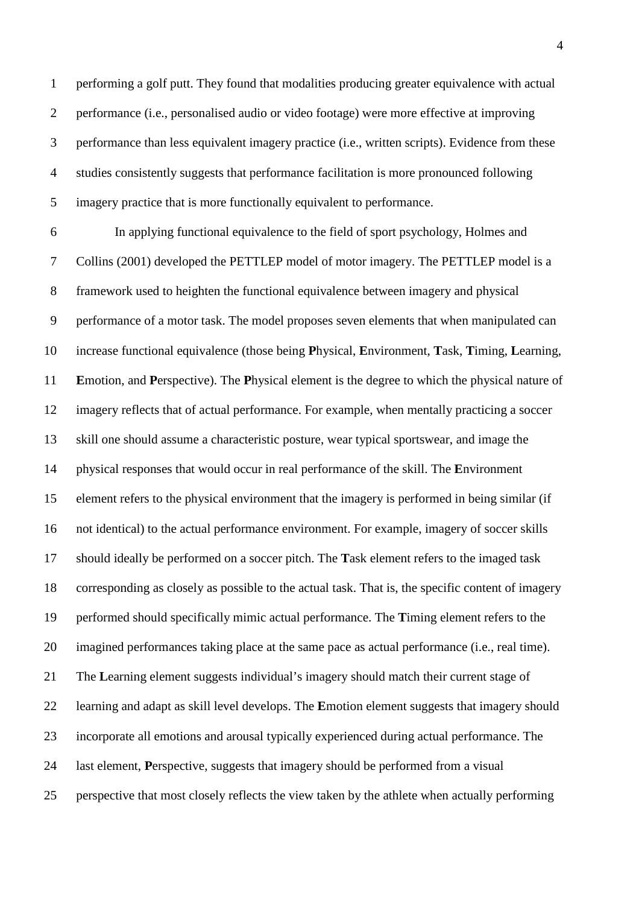performing a golf putt. They found that modalities producing greater equivalence with actual performance (i.e., personalised audio or video footage) were more effective at improving performance than less equivalent imagery practice (i.e., written scripts). Evidence from these studies consistently suggests that performance facilitation is more pronounced following imagery practice that is more functionally equivalent to performance.

 In applying functional equivalence to the field of sport psychology, Holmes and Collins (2001) developed the PETTLEP model of motor imagery. The PETTLEP model is a framework used to heighten the functional equivalence between imagery and physical performance of a motor task. The model proposes seven elements that when manipulated can increase functional equivalence (those being **P**hysical, **E**nvironment, **T**ask, **T**iming, **L**earning, **E**motion, and **P**erspective). The **P**hysical element is the degree to which the physical nature of imagery reflects that of actual performance. For example, when mentally practicing a soccer skill one should assume a characteristic posture, wear typical sportswear, and image the physical responses that would occur in real performance of the skill. The **E**nvironment element refers to the physical environment that the imagery is performed in being similar (if not identical) to the actual performance environment. For example, imagery of soccer skills should ideally be performed on a soccer pitch. The **T**ask element refers to the imaged task corresponding as closely as possible to the actual task. That is, the specific content of imagery performed should specifically mimic actual performance. The **T**iming element refers to the imagined performances taking place at the same pace as actual performance (i.e., real time). The **L**earning element suggests individual's imagery should match their current stage of learning and adapt as skill level develops. The **E**motion element suggests that imagery should incorporate all emotions and arousal typically experienced during actual performance. The last element, **P**erspective, suggests that imagery should be performed from a visual perspective that most closely reflects the view taken by the athlete when actually performing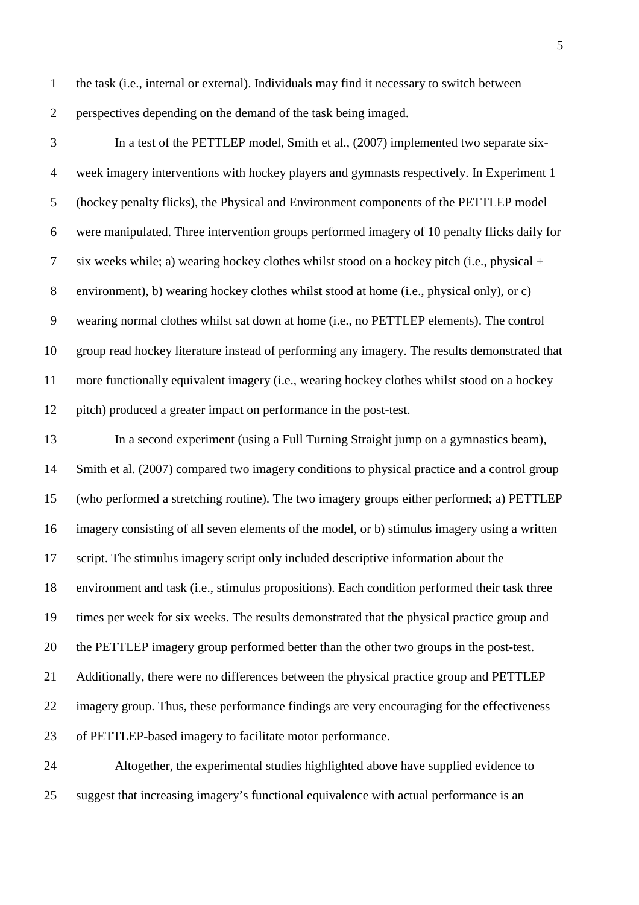- the task (i.e., internal or external). Individuals may find it necessary to switch between perspectives depending on the demand of the task being imaged.
- 

 In a test of the PETTLEP model, Smith et al., (2007) implemented two separate six- week imagery interventions with hockey players and gymnasts respectively. In Experiment 1 (hockey penalty flicks), the Physical and Environment components of the PETTLEP model were manipulated. Three intervention groups performed imagery of 10 penalty flicks daily for six weeks while; a) wearing hockey clothes whilst stood on a hockey pitch (i.e., physical + environment), b) wearing hockey clothes whilst stood at home (i.e., physical only), or c) wearing normal clothes whilst sat down at home (i.e., no PETTLEP elements). The control group read hockey literature instead of performing any imagery. The results demonstrated that more functionally equivalent imagery (i.e., wearing hockey clothes whilst stood on a hockey pitch) produced a greater impact on performance in the post-test.

 In a second experiment (using a Full Turning Straight jump on a gymnastics beam), 14 Smith et al. (2007) compared two imagery conditions to physical practice and a control group (who performed a stretching routine). The two imagery groups either performed; a) PETTLEP imagery consisting of all seven elements of the model, or b) stimulus imagery using a written script. The stimulus imagery script only included descriptive information about the environment and task (i.e., stimulus propositions). Each condition performed their task three times per week for six weeks. The results demonstrated that the physical practice group and the PETTLEP imagery group performed better than the other two groups in the post-test. Additionally, there were no differences between the physical practice group and PETTLEP imagery group. Thus, these performance findings are very encouraging for the effectiveness of PETTLEP-based imagery to facilitate motor performance.

 Altogether, the experimental studies highlighted above have supplied evidence to suggest that increasing imagery's functional equivalence with actual performance is an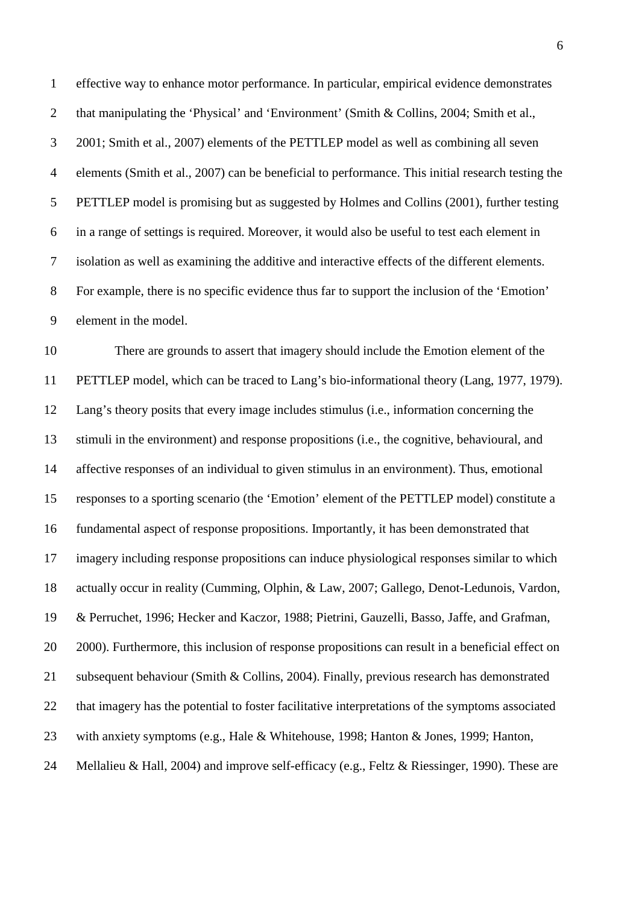effective way to enhance motor performance. In particular, empirical evidence demonstrates that manipulating the 'Physical' and 'Environment' (Smith & Collins, 2004; Smith et al., 2001; Smith et al., 2007) elements of the PETTLEP model as well as combining all seven elements (Smith et al., 2007) can be beneficial to performance. This initial research testing the PETTLEP model is promising but as suggested by Holmes and Collins (2001), further testing in a range of settings is required. Moreover, it would also be useful to test each element in isolation as well as examining the additive and interactive effects of the different elements. For example, there is no specific evidence thus far to support the inclusion of the 'Emotion' element in the model.

 There are grounds to assert that imagery should include the Emotion element of the PETTLEP model, which can be traced to Lang's bio-informational theory (Lang, 1977, 1979). Lang's theory posits that every image includes stimulus (i.e., information concerning the stimuli in the environment) and response propositions (i.e., the cognitive, behavioural, and affective responses of an individual to given stimulus in an environment). Thus, emotional responses to a sporting scenario (the 'Emotion' element of the PETTLEP model) constitute a fundamental aspect of response propositions. Importantly, it has been demonstrated that imagery including response propositions can induce physiological responses similar to which actually occur in reality (Cumming, Olphin, & Law, 2007; Gallego, Denot-Ledunois, Vardon, & Perruchet, 1996; Hecker and Kaczor, 1988; Pietrini, Gauzelli, Basso, Jaffe, and Grafman, 2000). Furthermore, this inclusion of response propositions can result in a beneficial effect on subsequent behaviour (Smith & Collins, 2004). Finally, previous research has demonstrated that imagery has the potential to foster facilitative interpretations of the symptoms associated with anxiety symptoms (e.g., Hale & Whitehouse, 1998; Hanton & Jones, 1999; Hanton, 24 Mellalieu & Hall, 2004) and improve self-efficacy (e.g., Feltz & Riessinger, 1990). These are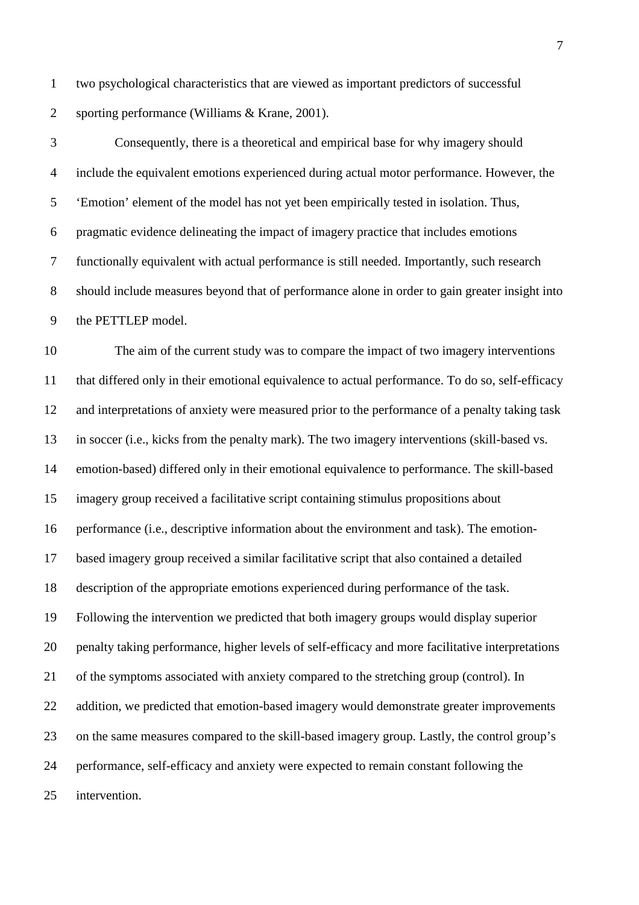two psychological characteristics that are viewed as important predictors of successful sporting performance (Williams & Krane, 2001).

 Consequently, there is a theoretical and empirical base for why imagery should include the equivalent emotions experienced during actual motor performance. However, the 'Emotion' element of the model has not yet been empirically tested in isolation. Thus, pragmatic evidence delineating the impact of imagery practice that includes emotions functionally equivalent with actual performance is still needed. Importantly, such research should include measures beyond that of performance alone in order to gain greater insight into the PETTLEP model.

 The aim of the current study was to compare the impact of two imagery interventions that differed only in their emotional equivalence to actual performance. To do so, self-efficacy and interpretations of anxiety were measured prior to the performance of a penalty taking task in soccer (i.e., kicks from the penalty mark). The two imagery interventions (skill-based vs. emotion-based) differed only in their emotional equivalence to performance. The skill-based imagery group received a facilitative script containing stimulus propositions about performance (i.e., descriptive information about the environment and task). The emotion- based imagery group received a similar facilitative script that also contained a detailed description of the appropriate emotions experienced during performance of the task. Following the intervention we predicted that both imagery groups would display superior penalty taking performance, higher levels of self-efficacy and more facilitative interpretations of the symptoms associated with anxiety compared to the stretching group (control). In 22 addition, we predicted that emotion-based imagery would demonstrate greater improvements on the same measures compared to the skill-based imagery group. Lastly, the control group's performance, self-efficacy and anxiety were expected to remain constant following the intervention.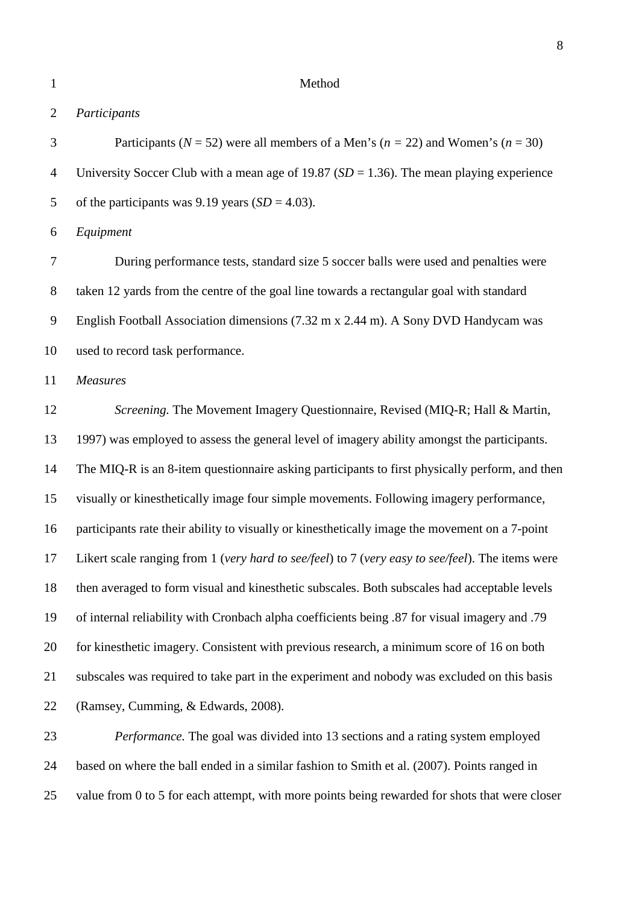#### Method

### *Participants*

 Participants (*N* = 52) were all members of a Men's (*n =* 22) and Women's (*n* = 30) University Soccer Club with a mean age of 19.87 (*SD* = 1.36). The mean playing experience 5 of the participants was 9.19 years  $(SD = 4.03)$ .

*Equipment*

 During performance tests, standard size 5 soccer balls were used and penalties were taken 12 yards from the centre of the goal line towards a rectangular goal with standard English Football Association dimensions (7.32 m x 2.44 m). A Sony DVD Handycam was used to record task performance.

*Measures*

 *Screening.* The Movement Imagery Questionnaire, Revised (MIQ-R; Hall & Martin, 1997) was employed to assess the general level of imagery ability amongst the participants. The MIQ-R is an 8-item questionnaire asking participants to first physically perform, and then visually or kinesthetically image four simple movements. Following imagery performance, participants rate their ability to visually or kinesthetically image the movement on a 7-point Likert scale ranging from 1 (*very hard to see/feel*) to 7 (*very easy to see/feel*). The items were then averaged to form visual and kinesthetic subscales. Both subscales had acceptable levels of internal reliability with Cronbach alpha coefficients being .87 for visual imagery and .79 for kinesthetic imagery. Consistent with previous research, a minimum score of 16 on both subscales was required to take part in the experiment and nobody was excluded on this basis (Ramsey, Cumming, & Edwards, 2008).

 *Performance.* The goal was divided into 13 sections and a rating system employed based on where the ball ended in a similar fashion to Smith et al. (2007). Points ranged in 25 value from 0 to 5 for each attempt, with more points being rewarded for shots that were closer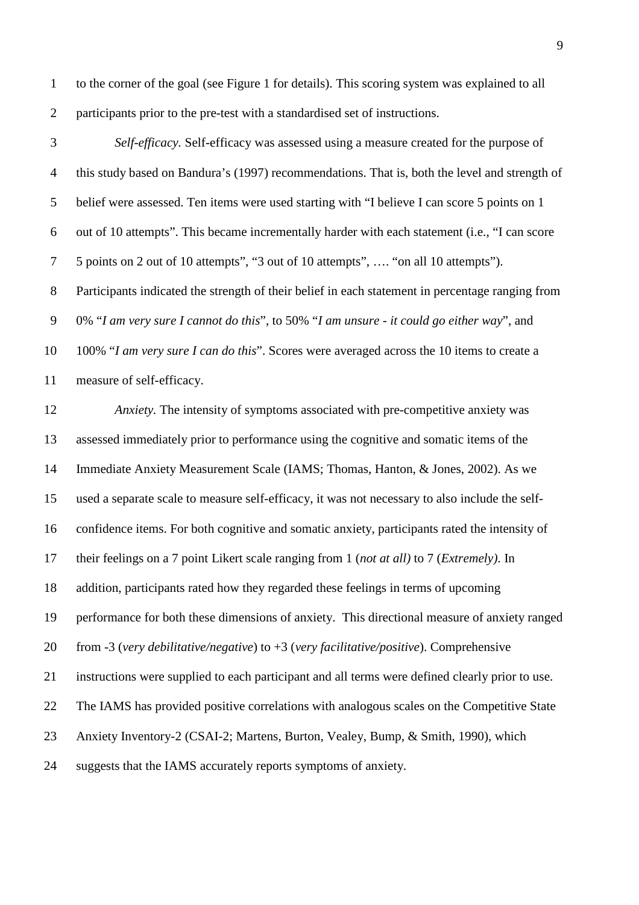to the corner of the goal (see Figure 1 for details). This scoring system was explained to all participants prior to the pre-test with a standardised set of instructions.

 *Self-efficacy.* Self-efficacy was assessed using a measure created for the purpose of this study based on Bandura's (1997) recommendations. That is, both the level and strength of belief were assessed. Ten items were used starting with "I believe I can score 5 points on 1 out of 10 attempts". This became incrementally harder with each statement (i.e., "I can score 5 points on 2 out of 10 attempts", "3 out of 10 attempts", …. "on all 10 attempts"). Participants indicated the strength of their belief in each statement in percentage ranging from 0% "*I am very sure I cannot do this*", to 50% "*I am unsure - it could go either way*", and 100% "*I am very sure I can do this*". Scores were averaged across the 10 items to create a measure of self-efficacy.

 *Anxiety.* The intensity of symptoms associated with pre-competitive anxiety was assessed immediately prior to performance using the cognitive and somatic items of the Immediate Anxiety Measurement Scale (IAMS; Thomas, Hanton, & Jones, 2002). As we used a separate scale to measure self-efficacy, it was not necessary to also include the self- confidence items. For both cognitive and somatic anxiety, participants rated the intensity of their feelings on a 7 point Likert scale ranging from 1 (*not at all)* to 7 (*Extremely)*. In addition, participants rated how they regarded these feelings in terms of upcoming performance for both these dimensions of anxiety. This directional measure of anxiety ranged from -3 (*very debilitative/negative*) to +3 (*very facilitative/positive*). Comprehensive instructions were supplied to each participant and all terms were defined clearly prior to use. The IAMS has provided positive correlations with analogous scales on the Competitive State Anxiety Inventory-2 (CSAI-2; Martens, Burton, Vealey, Bump, & Smith, 1990), which suggests that the IAMS accurately reports symptoms of anxiety.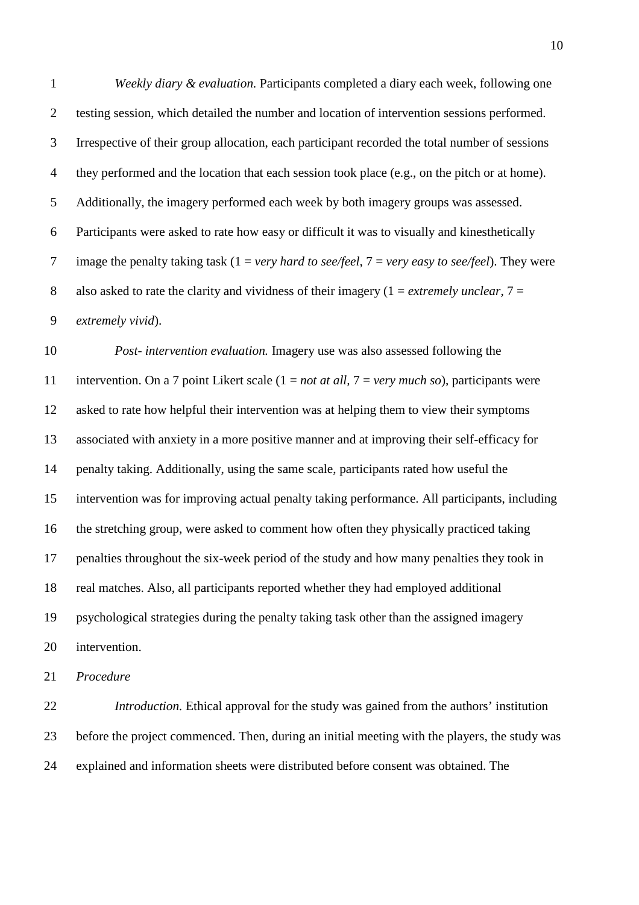*Weekly diary & evaluation.* Participants completed a diary each week, following one testing session, which detailed the number and location of intervention sessions performed. Irrespective of their group allocation, each participant recorded the total number of sessions they performed and the location that each session took place (e.g., on the pitch or at home). Additionally, the imagery performed each week by both imagery groups was assessed. Participants were asked to rate how easy or difficult it was to visually and kinesthetically image the penalty taking task (1 = *very hard to see/feel*, 7 = *very easy to see/feel*). They were 8 also asked to rate the clarity and vividness of their imagery  $(1 = \text{extremely unclear}, 7 =$ *extremely vivid*).

 *Post- intervention evaluation.* Imagery use was also assessed following the intervention. On a 7 point Likert scale (1 = *not at all,* 7 = *very much so*), participants were asked to rate how helpful their intervention was at helping them to view their symptoms associated with anxiety in a more positive manner and at improving their self-efficacy for penalty taking. Additionally, using the same scale, participants rated how useful the intervention was for improving actual penalty taking performance. All participants, including the stretching group, were asked to comment how often they physically practiced taking penalties throughout the six-week period of the study and how many penalties they took in real matches. Also, all participants reported whether they had employed additional psychological strategies during the penalty taking task other than the assigned imagery intervention.

*Procedure*

 *Introduction.* Ethical approval for the study was gained from the authors' institution before the project commenced. Then, during an initial meeting with the players, the study was explained and information sheets were distributed before consent was obtained. The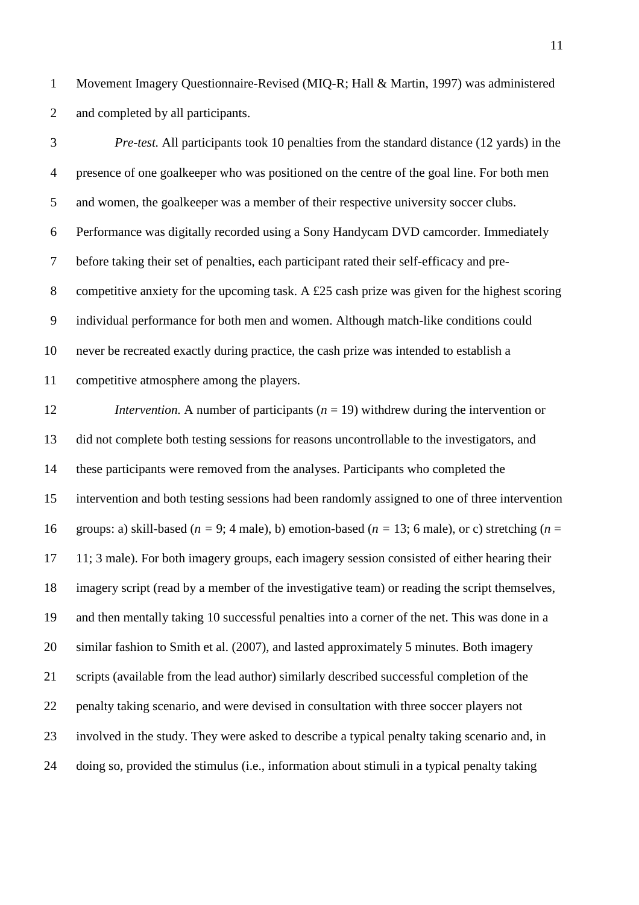Movement Imagery Questionnaire-Revised (MIQ-R; Hall & Martin, 1997) was administered and completed by all participants.

 *Pre-test.* All participants took 10 penalties from the standard distance (12 yards) in the presence of one goalkeeper who was positioned on the centre of the goal line. For both men and women, the goalkeeper was a member of their respective university soccer clubs. Performance was digitally recorded using a Sony Handycam DVD camcorder. Immediately before taking their set of penalties, each participant rated their self-efficacy and pre- competitive anxiety for the upcoming task. A £25 cash prize was given for the highest scoring individual performance for both men and women. Although match-like conditions could never be recreated exactly during practice, the cash prize was intended to establish a competitive atmosphere among the players.

 *Intervention.* A number of participants (*n* = 19) withdrew during the intervention or did not complete both testing sessions for reasons uncontrollable to the investigators, and these participants were removed from the analyses. Participants who completed the intervention and both testing sessions had been randomly assigned to one of three intervention groups: a) skill-based (*n =* 9; 4 male), b) emotion-based (*n =* 13; 6 male), or c) stretching (*n* = 11; 3 male). For both imagery groups, each imagery session consisted of either hearing their imagery script (read by a member of the investigative team) or reading the script themselves, and then mentally taking 10 successful penalties into a corner of the net. This was done in a similar fashion to Smith et al. (2007), and lasted approximately 5 minutes. Both imagery scripts (available from the lead author) similarly described successful completion of the penalty taking scenario, and were devised in consultation with three soccer players not involved in the study. They were asked to describe a typical penalty taking scenario and, in doing so, provided the stimulus (i.e., information about stimuli in a typical penalty taking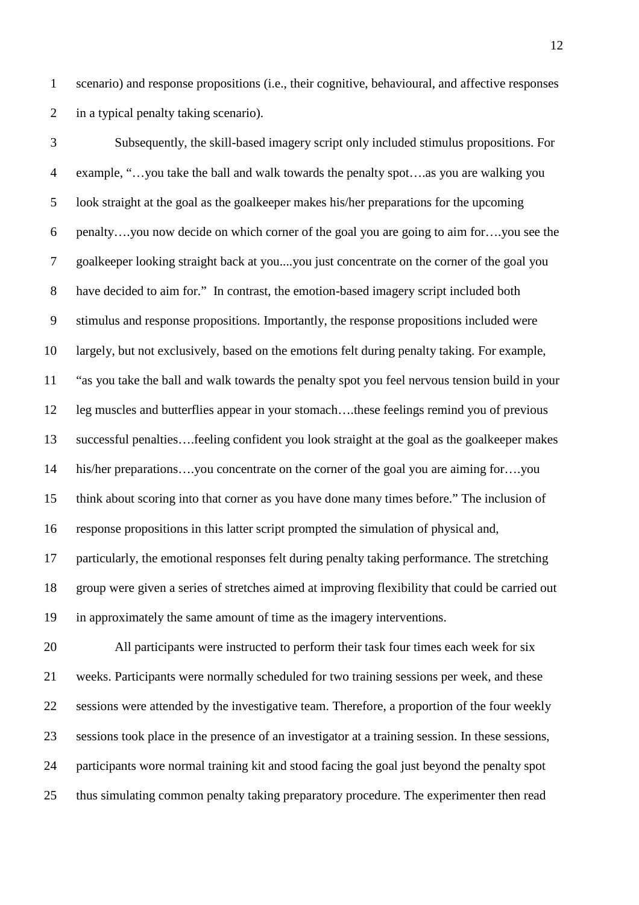scenario) and response propositions (i.e., their cognitive, behavioural, and affective responses in a typical penalty taking scenario).

 Subsequently, the skill-based imagery script only included stimulus propositions. For example, "…you take the ball and walk towards the penalty spot….as you are walking you look straight at the goal as the goalkeeper makes his/her preparations for the upcoming penalty….you now decide on which corner of the goal you are going to aim for….you see the goalkeeper looking straight back at you....you just concentrate on the corner of the goal you have decided to aim for." In contrast, the emotion-based imagery script included both stimulus and response propositions. Importantly, the response propositions included were largely, but not exclusively, based on the emotions felt during penalty taking. For example, "as you take the ball and walk towards the penalty spot you feel nervous tension build in your leg muscles and butterflies appear in your stomach….these feelings remind you of previous successful penalties….feeling confident you look straight at the goal as the goalkeeper makes his/her preparations….you concentrate on the corner of the goal you are aiming for….you think about scoring into that corner as you have done many times before." The inclusion of response propositions in this latter script prompted the simulation of physical and, particularly, the emotional responses felt during penalty taking performance. The stretching group were given a series of stretches aimed at improving flexibility that could be carried out in approximately the same amount of time as the imagery interventions.

 All participants were instructed to perform their task four times each week for six weeks. Participants were normally scheduled for two training sessions per week, and these sessions were attended by the investigative team. Therefore, a proportion of the four weekly sessions took place in the presence of an investigator at a training session. In these sessions, participants wore normal training kit and stood facing the goal just beyond the penalty spot thus simulating common penalty taking preparatory procedure. The experimenter then read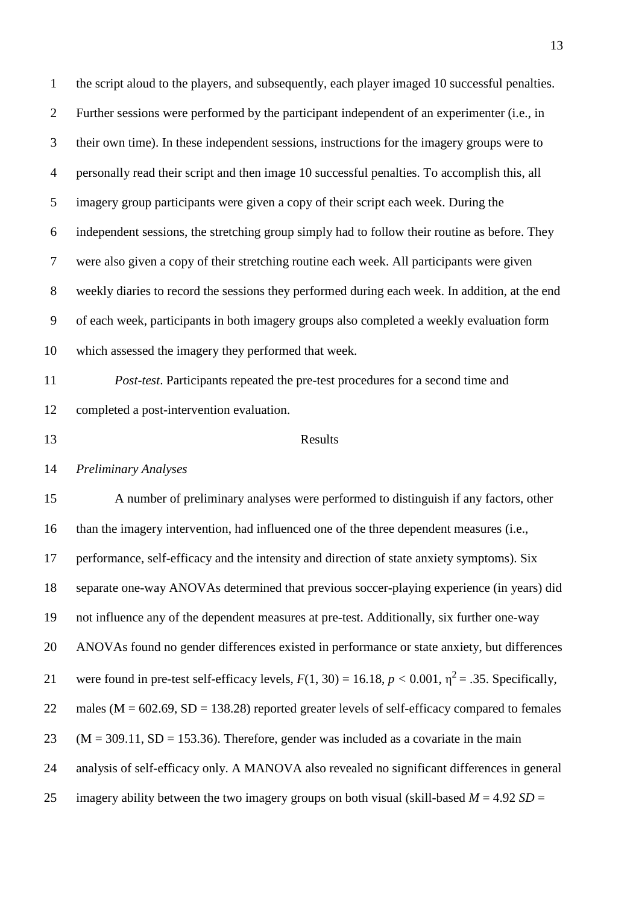the script aloud to the players, and subsequently, each player imaged 10 successful penalties. Further sessions were performed by the participant independent of an experimenter (i.e., in their own time). In these independent sessions, instructions for the imagery groups were to personally read their script and then image 10 successful penalties. To accomplish this, all imagery group participants were given a copy of their script each week. During the independent sessions, the stretching group simply had to follow their routine as before. They were also given a copy of their stretching routine each week. All participants were given weekly diaries to record the sessions they performed during each week. In addition, at the end of each week, participants in both imagery groups also completed a weekly evaluation form which assessed the imagery they performed that week. *Post-test*. Participants repeated the pre-test procedures for a second time and completed a post-intervention evaluation. 13 Results *Preliminary Analyses* A number of preliminary analyses were performed to distinguish if any factors, other than the imagery intervention, had influenced one of the three dependent measures (i.e., performance, self-efficacy and the intensity and direction of state anxiety symptoms). Six separate one-way ANOVAs determined that previous soccer-playing experience (in years) did not influence any of the dependent measures at pre-test. Additionally, six further one-way ANOVAs found no gender differences existed in performance or state anxiety, but differences 21 were found in pre-test self-efficacy levels,  $F(1, 30) = 16.18$ ,  $p < 0.001$ ,  $\eta^2 = .35$ . Specifically, 22 males ( $M = 602.69$ ,  $SD = 138.28$ ) reported greater levels of self-efficacy compared to females (M = 309.11, SD = 153.36). Therefore, gender was included as a covariate in the main analysis of self-efficacy only. A MANOVA also revealed no significant differences in general 25 imagery ability between the two imagery groups on both visual (skill-based  $M = 4.92$  SD =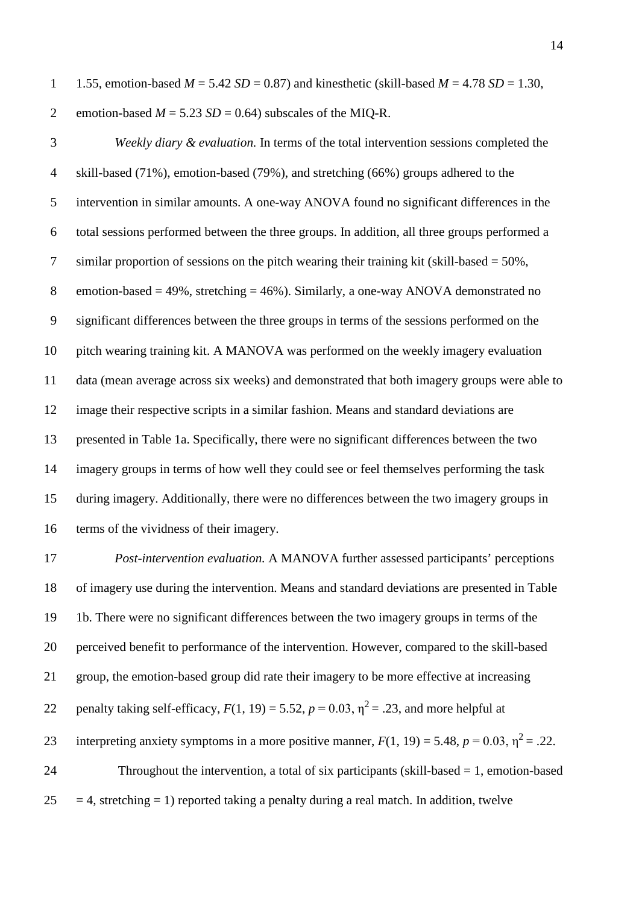1 1.55, emotion-based  $M = 5.42$  *SD* = 0.87) and kinesthetic (skill-based  $M = 4.78$  *SD* = 1.30, 2 emotion-based  $M = 5.23$   $SD = 0.64$ ) subscales of the MIO-R.

 *Weekly diary & evaluation.* In terms of the total intervention sessions completed the skill-based (71%), emotion-based (79%), and stretching (66%) groups adhered to the intervention in similar amounts. A one-way ANOVA found no significant differences in the total sessions performed between the three groups. In addition, all three groups performed a 7 similar proportion of sessions on the pitch wearing their training kit (skill-based  $= 50\%$ , 8 emotion-based  $= 49\%$ , stretching  $= 46\%$ ). Similarly, a one-way ANOVA demonstrated no significant differences between the three groups in terms of the sessions performed on the pitch wearing training kit. A MANOVA was performed on the weekly imagery evaluation data (mean average across six weeks) and demonstrated that both imagery groups were able to image their respective scripts in a similar fashion. Means and standard deviations are presented in Table 1a. Specifically, there were no significant differences between the two imagery groups in terms of how well they could see or feel themselves performing the task during imagery. Additionally, there were no differences between the two imagery groups in terms of the vividness of their imagery.

 *Post-intervention evaluation.* A MANOVA further assessed participants' perceptions of imagery use during the intervention. Means and standard deviations are presented in Table 1b. There were no significant differences between the two imagery groups in terms of the perceived benefit to performance of the intervention. However, compared to the skill-based group, the emotion-based group did rate their imagery to be more effective at increasing 22 penalty taking self-efficacy,  $F(1, 19) = 5.52$ ,  $p = 0.03$ ,  $\eta^2 = .23$ , and more helpful at 23 interpreting anxiety symptoms in a more positive manner,  $F(1, 19) = 5.48$ ,  $p = 0.03$ ,  $\eta^2 = .22$ . Throughout the intervention, a total of six participants (skill-based = 1, emotion-based  $25 = 4$ , stretching = 1) reported taking a penalty during a real match. In addition, twelve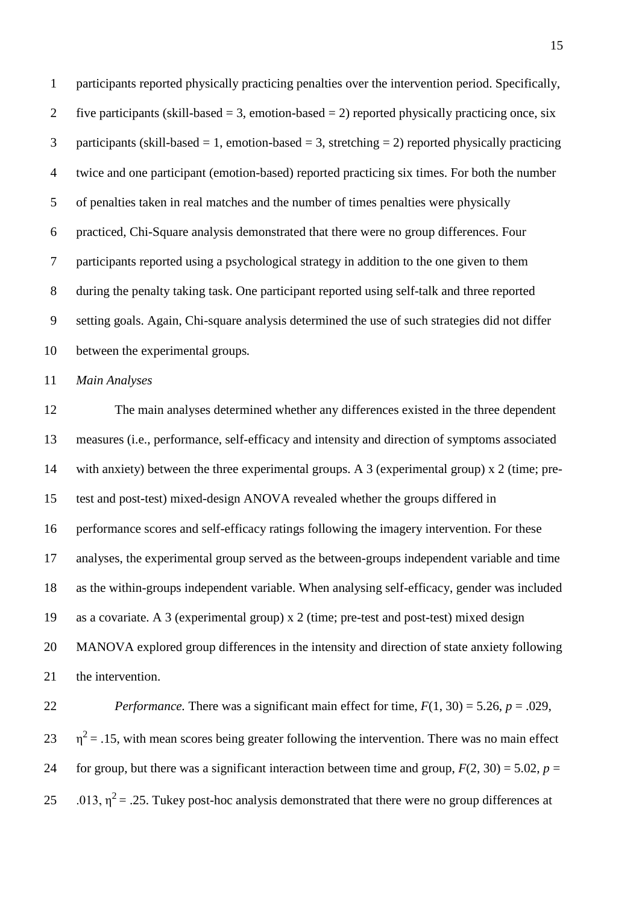participants reported physically practicing penalties over the intervention period. Specifically, 2 five participants (skill-based  $= 3$ , emotion-based  $= 2$ ) reported physically practicing once, six 3 participants (skill-based = 1, emotion-based = 3, stretching = 2) reported physically practicing twice and one participant (emotion-based) reported practicing six times. For both the number of penalties taken in real matches and the number of times penalties were physically practiced, Chi-Square analysis demonstrated that there were no group differences. Four participants reported using a psychological strategy in addition to the one given to them during the penalty taking task. One participant reported using self-talk and three reported setting goals. Again, Chi-square analysis determined the use of such strategies did not differ between the experimental groups*.*

*Main Analyses*

 The main analyses determined whether any differences existed in the three dependent measures (i.e., performance, self-efficacy and intensity and direction of symptoms associated with anxiety) between the three experimental groups. A 3 (experimental group) x 2 (time; pre- test and post-test) mixed-design ANOVA revealed whether the groups differed in performance scores and self-efficacy ratings following the imagery intervention. For these analyses, the experimental group served as the between-groups independent variable and time as the within-groups independent variable. When analysing self-efficacy, gender was included as a covariate. A 3 (experimental group) x 2 (time; pre-test and post-test) mixed design MANOVA explored group differences in the intensity and direction of state anxiety following the intervention.

22 *Performance*. There was a significant main effect for time,  $F(1, 30) = 5.26$ ,  $p = .029$ ,  $23 \text{ } \eta^2 = .15$ , with mean scores being greater following the intervention. There was no main effect 24 for group, but there was a significant interaction between time and group,  $F(2, 30) = 5.02$ ,  $p =$ 25 0.013,  $\eta^2$  = .25. Tukey post-hoc analysis demonstrated that there were no group differences at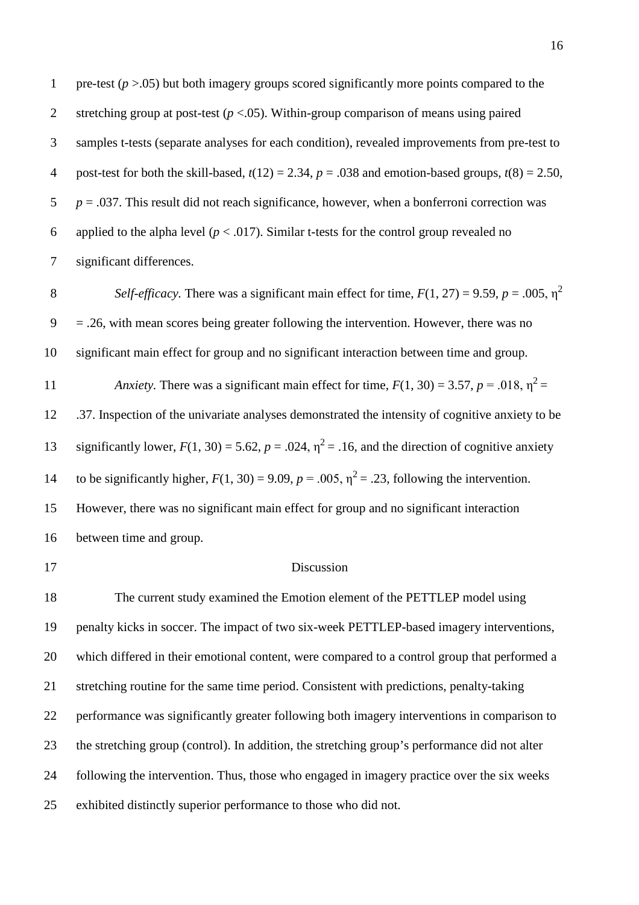1 pre-test  $(p > .05)$  but both imagery groups scored significantly more points compared to the stretching group at post-test (*p* <.05). Within-group comparison of means using paired samples t-tests (separate analyses for each condition), revealed improvements from pre-test to 4 post-test for both the skill-based,  $t(12) = 2.34$ ,  $p = .038$  and emotion-based groups,  $t(8) = 2.50$ , *p* = .037. This result did not reach significance, however, when a bonferroni correction was 6 applied to the alpha level  $(p < .017)$ . Similar t-tests for the control group revealed no significant differences.

*Self-efficacy.* There was a significant main effect for time,  $F(1, 27) = 9.59$ ,  $p = .005$ ,  $\eta^2$   $9 = 0.26$ , with mean scores being greater following the intervention. However, there was no significant main effect for group and no significant interaction between time and group.

*Anxiety.* There was a significant main effect for time,  $F(1, 30) = 3.57$ ,  $p = .018$ ,  $p^2 =$  .37. Inspection of the univariate analyses demonstrated the intensity of cognitive anxiety to be 13 significantly lower,  $F(1, 30) = 5.62$ ,  $p = .024$ ,  $\eta^2 = .16$ , and the direction of cognitive anxiety 14 to be significantly higher,  $F(1, 30) = 9.09$ ,  $p = .005$ ,  $\eta^2 = .23$ , following the intervention. However, there was no significant main effect for group and no significant interaction between time and group.

#### Discussion

 The current study examined the Emotion element of the PETTLEP model using penalty kicks in soccer. The impact of two six-week PETTLEP-based imagery interventions, which differed in their emotional content, were compared to a control group that performed a stretching routine for the same time period. Consistent with predictions, penalty-taking performance was significantly greater following both imagery interventions in comparison to the stretching group (control). In addition, the stretching group's performance did not alter following the intervention. Thus, those who engaged in imagery practice over the six weeks exhibited distinctly superior performance to those who did not.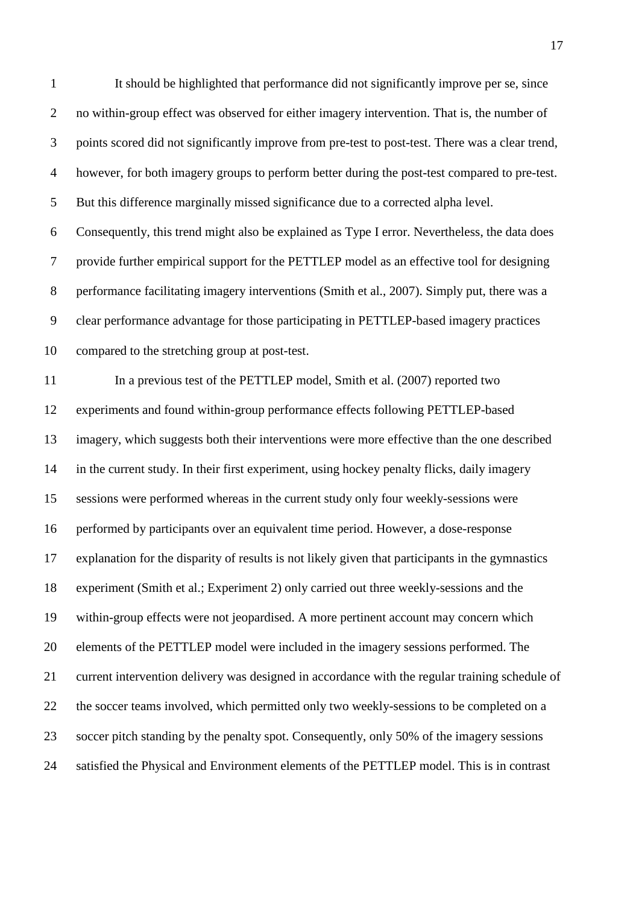It should be highlighted that performance did not significantly improve per se, since no within-group effect was observed for either imagery intervention. That is, the number of points scored did not significantly improve from pre-test to post-test. There was a clear trend, however, for both imagery groups to perform better during the post-test compared to pre-test. But this difference marginally missed significance due to a corrected alpha level. Consequently, this trend might also be explained as Type I error. Nevertheless, the data does provide further empirical support for the PETTLEP model as an effective tool for designing performance facilitating imagery interventions (Smith et al., 2007). Simply put, there was a clear performance advantage for those participating in PETTLEP-based imagery practices compared to the stretching group at post-test. In a previous test of the PETTLEP model, Smith et al. (2007) reported two experiments and found within-group performance effects following PETTLEP-based imagery, which suggests both their interventions were more effective than the one described in the current study. In their first experiment, using hockey penalty flicks, daily imagery sessions were performed whereas in the current study only four weekly-sessions were performed by participants over an equivalent time period. However, a dose-response explanation for the disparity of results is not likely given that participants in the gymnastics experiment (Smith et al.; Experiment 2) only carried out three weekly-sessions and the within-group effects were not jeopardised. A more pertinent account may concern which elements of the PETTLEP model were included in the imagery sessions performed. The current intervention delivery was designed in accordance with the regular training schedule of the soccer teams involved, which permitted only two weekly-sessions to be completed on a soccer pitch standing by the penalty spot. Consequently, only 50% of the imagery sessions satisfied the Physical and Environment elements of the PETTLEP model. This is in contrast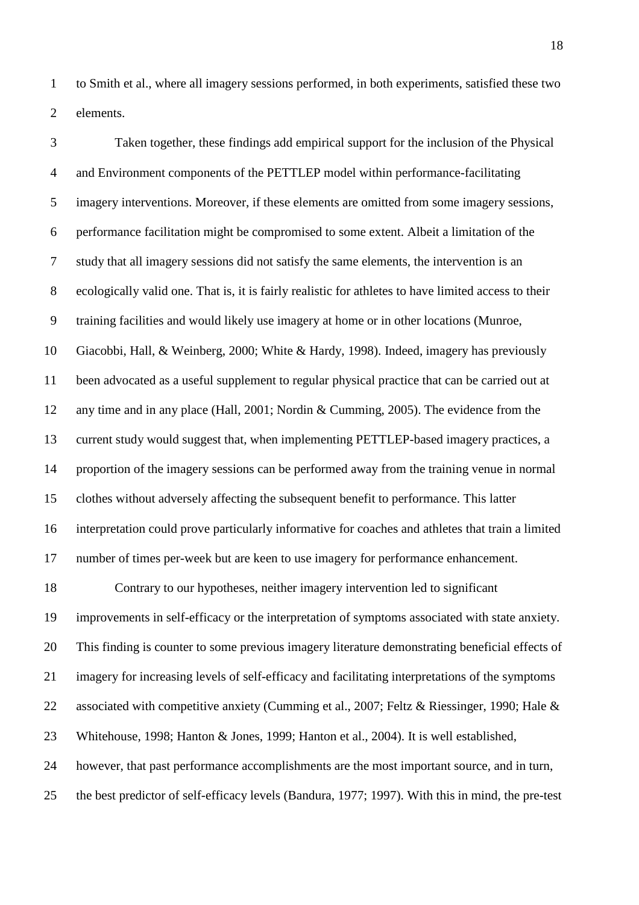to Smith et al., where all imagery sessions performed, in both experiments, satisfied these two elements.

 Taken together, these findings add empirical support for the inclusion of the Physical and Environment components of the PETTLEP model within performance-facilitating imagery interventions. Moreover, if these elements are omitted from some imagery sessions, performance facilitation might be compromised to some extent. Albeit a limitation of the study that all imagery sessions did not satisfy the same elements, the intervention is an ecologically valid one. That is, it is fairly realistic for athletes to have limited access to their training facilities and would likely use imagery at home or in other locations (Munroe, Giacobbi, Hall, & Weinberg, 2000; White & Hardy, 1998). Indeed, imagery has previously been advocated as a useful supplement to regular physical practice that can be carried out at any time and in any place (Hall, 2001; Nordin & Cumming, 2005). The evidence from the current study would suggest that, when implementing PETTLEP-based imagery practices, a proportion of the imagery sessions can be performed away from the training venue in normal clothes without adversely affecting the subsequent benefit to performance. This latter interpretation could prove particularly informative for coaches and athletes that train a limited number of times per-week but are keen to use imagery for performance enhancement. Contrary to our hypotheses, neither imagery intervention led to significant improvements in self-efficacy or the interpretation of symptoms associated with state anxiety. This finding is counter to some previous imagery literature demonstrating beneficial effects of imagery for increasing levels of self-efficacy and facilitating interpretations of the symptoms 22 associated with competitive anxiety (Cumming et al., 2007; Feltz & Riessinger, 1990; Hale & Whitehouse, 1998; Hanton & Jones, 1999; Hanton et al., 2004). It is well established, however, that past performance accomplishments are the most important source, and in turn, the best predictor of self-efficacy levels (Bandura, 1977; 1997). With this in mind, the pre-test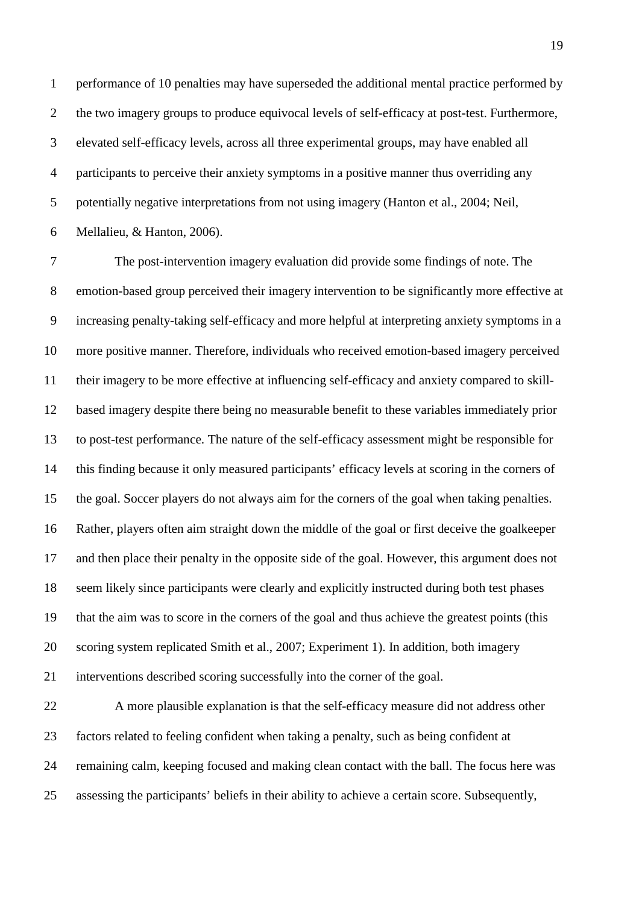performance of 10 penalties may have superseded the additional mental practice performed by the two imagery groups to produce equivocal levels of self-efficacy at post-test. Furthermore, elevated self-efficacy levels, across all three experimental groups, may have enabled all participants to perceive their anxiety symptoms in a positive manner thus overriding any potentially negative interpretations from not using imagery (Hanton et al., 2004; Neil, Mellalieu, & Hanton, 2006).

 The post-intervention imagery evaluation did provide some findings of note. The emotion-based group perceived their imagery intervention to be significantly more effective at increasing penalty-taking self-efficacy and more helpful at interpreting anxiety symptoms in a more positive manner. Therefore, individuals who received emotion-based imagery perceived their imagery to be more effective at influencing self-efficacy and anxiety compared to skill- based imagery despite there being no measurable benefit to these variables immediately prior to post-test performance. The nature of the self-efficacy assessment might be responsible for this finding because it only measured participants' efficacy levels at scoring in the corners of the goal. Soccer players do not always aim for the corners of the goal when taking penalties. Rather, players often aim straight down the middle of the goal or first deceive the goalkeeper and then place their penalty in the opposite side of the goal. However, this argument does not seem likely since participants were clearly and explicitly instructed during both test phases that the aim was to score in the corners of the goal and thus achieve the greatest points (this scoring system replicated Smith et al., 2007; Experiment 1). In addition, both imagery interventions described scoring successfully into the corner of the goal.

 A more plausible explanation is that the self-efficacy measure did not address other factors related to feeling confident when taking a penalty, such as being confident at remaining calm, keeping focused and making clean contact with the ball. The focus here was assessing the participants' beliefs in their ability to achieve a certain score. Subsequently,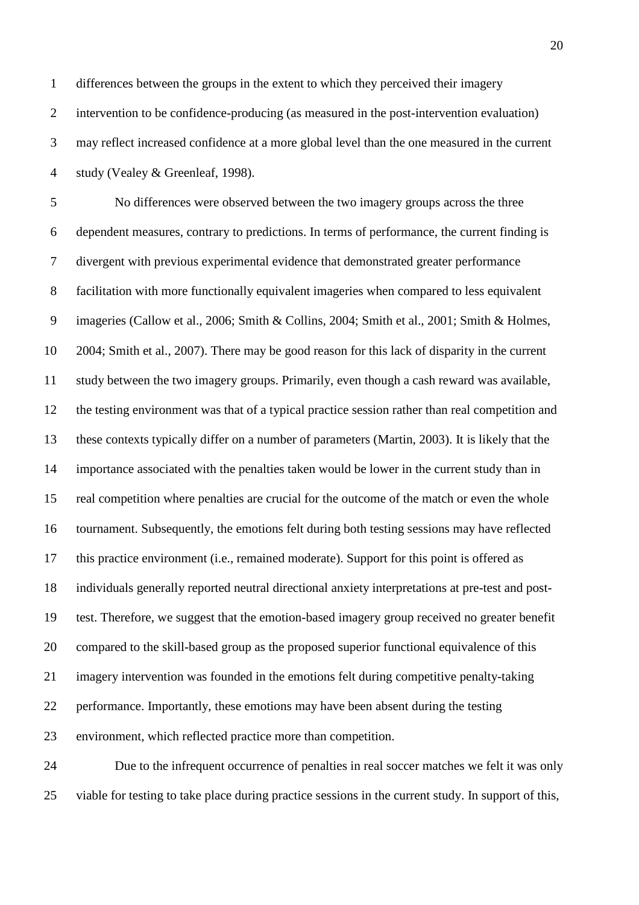differences between the groups in the extent to which they perceived their imagery intervention to be confidence-producing (as measured in the post-intervention evaluation) may reflect increased confidence at a more global level than the one measured in the current study (Vealey & Greenleaf, 1998).

 No differences were observed between the two imagery groups across the three dependent measures, contrary to predictions. In terms of performance, the current finding is divergent with previous experimental evidence that demonstrated greater performance facilitation with more functionally equivalent imageries when compared to less equivalent imageries (Callow et al., 2006; Smith & Collins, 2004; Smith et al., 2001; Smith & Holmes, 2004; Smith et al., 2007). There may be good reason for this lack of disparity in the current study between the two imagery groups. Primarily, even though a cash reward was available, the testing environment was that of a typical practice session rather than real competition and these contexts typically differ on a number of parameters (Martin, 2003). It is likely that the importance associated with the penalties taken would be lower in the current study than in real competition where penalties are crucial for the outcome of the match or even the whole tournament. Subsequently, the emotions felt during both testing sessions may have reflected this practice environment (i.e., remained moderate). Support for this point is offered as individuals generally reported neutral directional anxiety interpretations at pre-test and post- test. Therefore, we suggest that the emotion-based imagery group received no greater benefit compared to the skill-based group as the proposed superior functional equivalence of this imagery intervention was founded in the emotions felt during competitive penalty-taking performance. Importantly, these emotions may have been absent during the testing environment, which reflected practice more than competition.

 Due to the infrequent occurrence of penalties in real soccer matches we felt it was only viable for testing to take place during practice sessions in the current study. In support of this,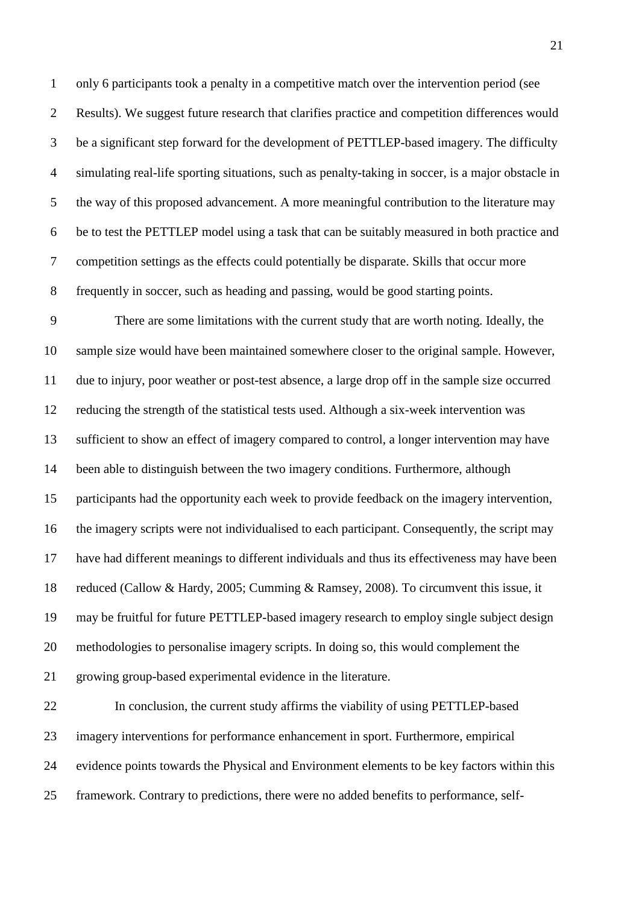only 6 participants took a penalty in a competitive match over the intervention period (see Results). We suggest future research that clarifies practice and competition differences would be a significant step forward for the development of PETTLEP-based imagery. The difficulty simulating real-life sporting situations, such as penalty-taking in soccer, is a major obstacle in the way of this proposed advancement. A more meaningful contribution to the literature may be to test the PETTLEP model using a task that can be suitably measured in both practice and competition settings as the effects could potentially be disparate. Skills that occur more frequently in soccer, such as heading and passing, would be good starting points.

 There are some limitations with the current study that are worth noting. Ideally, the sample size would have been maintained somewhere closer to the original sample. However, due to injury, poor weather or post-test absence, a large drop off in the sample size occurred reducing the strength of the statistical tests used. Although a six-week intervention was sufficient to show an effect of imagery compared to control, a longer intervention may have been able to distinguish between the two imagery conditions. Furthermore, although participants had the opportunity each week to provide feedback on the imagery intervention, the imagery scripts were not individualised to each participant. Consequently, the script may have had different meanings to different individuals and thus its effectiveness may have been reduced (Callow & Hardy, 2005; Cumming & Ramsey, 2008). To circumvent this issue, it may be fruitful for future PETTLEP-based imagery research to employ single subject design methodologies to personalise imagery scripts. In doing so, this would complement the growing group-based experimental evidence in the literature.

 In conclusion, the current study affirms the viability of using PETTLEP-based imagery interventions for performance enhancement in sport. Furthermore, empirical evidence points towards the Physical and Environment elements to be key factors within this framework. Contrary to predictions, there were no added benefits to performance, self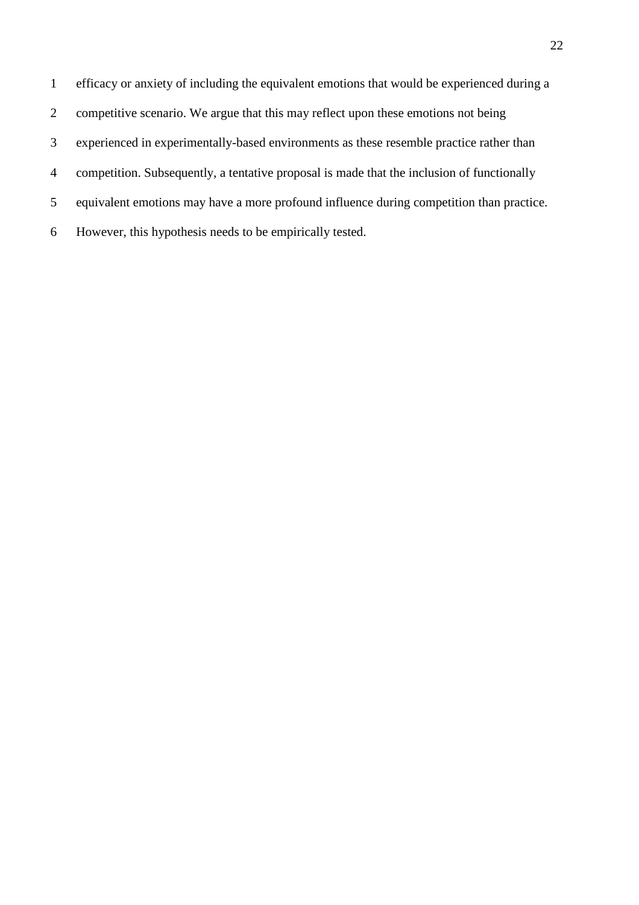efficacy or anxiety of including the equivalent emotions that would be experienced during a competitive scenario. We argue that this may reflect upon these emotions not being experienced in experimentally-based environments as these resemble practice rather than competition. Subsequently, a tentative proposal is made that the inclusion of functionally equivalent emotions may have a more profound influence during competition than practice. However, this hypothesis needs to be empirically tested.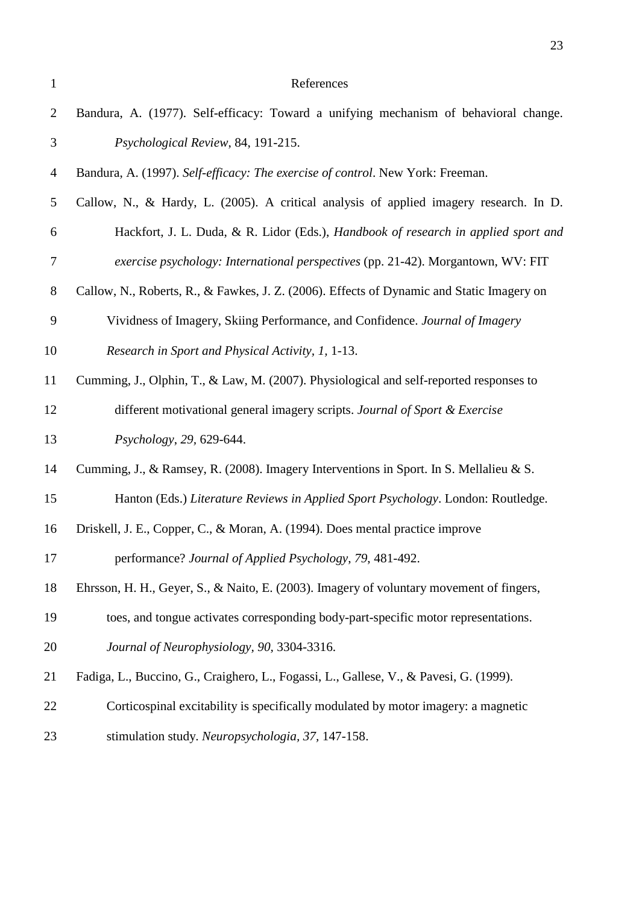| $\mathbf{1}$     | References                                                                                |
|------------------|-------------------------------------------------------------------------------------------|
| $\overline{2}$   | Bandura, A. (1977). Self-efficacy: Toward a unifying mechanism of behavioral change.      |
| 3                | Psychological Review, 84, 191-215.                                                        |
| $\overline{4}$   | Bandura, A. (1997). Self-efficacy: The exercise of control. New York: Freeman.            |
| 5                | Callow, N., & Hardy, L. (2005). A critical analysis of applied imagery research. In D.    |
| 6                | Hackfort, J. L. Duda, & R. Lidor (Eds.), Handbook of research in applied sport and        |
| $\boldsymbol{7}$ | exercise psychology: International perspectives (pp. 21-42). Morgantown, WV: FIT          |
| $8\phantom{1}$   | Callow, N., Roberts, R., & Fawkes, J. Z. (2006). Effects of Dynamic and Static Imagery on |
| 9                | Vividness of Imagery, Skiing Performance, and Confidence. Journal of Imagery              |
| 10               | Research in Sport and Physical Activity, 1, 1-13.                                         |
| 11               | Cumming, J., Olphin, T., & Law, M. (2007). Physiological and self-reported responses to   |
| 12               | different motivational general imagery scripts. Journal of Sport & Exercise               |
| 13               | Psychology, 29, 629-644.                                                                  |
| 14               | Cumming, J., & Ramsey, R. (2008). Imagery Interventions in Sport. In S. Mellalieu & S.    |
| 15               | Hanton (Eds.) Literature Reviews in Applied Sport Psychology. London: Routledge.          |
| 16               | Driskell, J. E., Copper, C., & Moran, A. (1994). Does mental practice improve             |
| 17               | performance? Journal of Applied Psychology, 79, 481-492.                                  |
| 18               | Ehrsson, H. H., Geyer, S., & Naito, E. (2003). Imagery of voluntary movement of fingers,  |
| 19               | toes, and tongue activates corresponding body-part-specific motor representations.        |
| 20               | Journal of Neurophysiology, 90, 3304-3316.                                                |
| 21               | Fadiga, L., Buccino, G., Craighero, L., Fogassi, L., Gallese, V., & Pavesi, G. (1999).    |
| 22               | Corticospinal excitability is specifically modulated by motor imagery: a magnetic         |
| 23               | stimulation study. Neuropsychologia, 37, 147-158.                                         |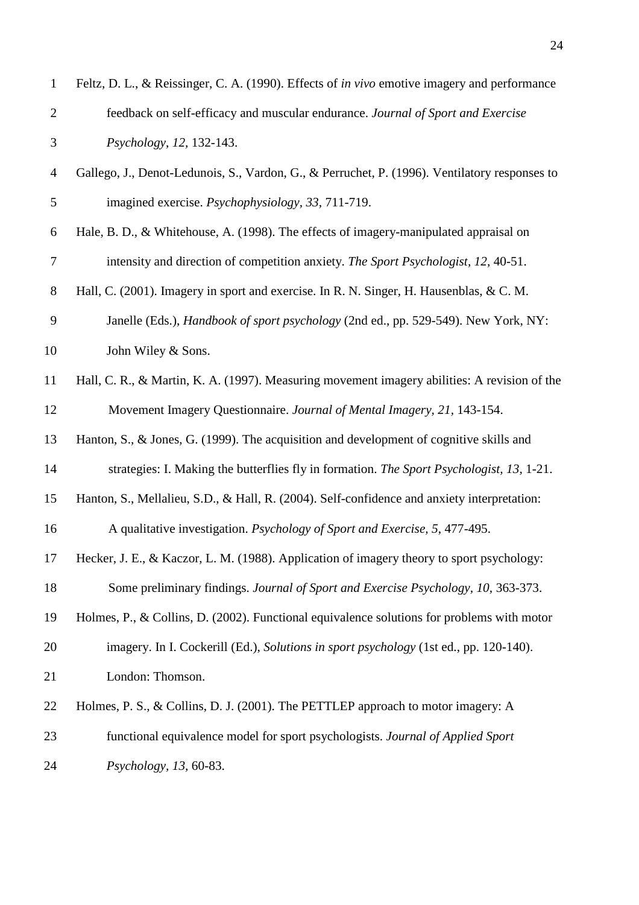| $\mathbf{1}$     | Feltz, D. L., & Reissinger, C. A. (1990). Effects of in vivo emotive imagery and performance  |
|------------------|-----------------------------------------------------------------------------------------------|
| $\mathbf{2}$     | feedback on self-efficacy and muscular endurance. Journal of Sport and Exercise               |
| 3                | Psychology, 12, 132-143.                                                                      |
| $\overline{4}$   | Gallego, J., Denot-Ledunois, S., Vardon, G., & Perruchet, P. (1996). Ventilatory responses to |
| 5                | imagined exercise. <i>Psychophysiology</i> , 33, 711-719.                                     |
| $\boldsymbol{6}$ | Hale, B. D., & Whitehouse, A. (1998). The effects of imagery-manipulated appraisal on         |
| $\tau$           | intensity and direction of competition anxiety. The Sport Psychologist, 12, 40-51.            |
| $8\,$            | Hall, C. (2001). Imagery in sport and exercise. In R. N. Singer, H. Hausenblas, & C. M.       |
| $\boldsymbol{9}$ | Janelle (Eds.), <i>Handbook of sport psychology</i> (2nd ed., pp. 529-549). New York, NY:     |
| 10               | John Wiley & Sons.                                                                            |
| 11               | Hall, C. R., & Martin, K. A. (1997). Measuring movement imagery abilities: A revision of the  |
| 12               | Movement Imagery Questionnaire. Journal of Mental Imagery, 21, 143-154.                       |
| 13               | Hanton, S., & Jones, G. (1999). The acquisition and development of cognitive skills and       |
| 14               | strategies: I. Making the butterflies fly in formation. The Sport Psychologist, 13, 1-21.     |
| 15               | Hanton, S., Mellalieu, S.D., & Hall, R. (2004). Self-confidence and anxiety interpretation:   |
| 16               | A qualitative investigation. Psychology of Sport and Exercise, 5, 477-495.                    |
| 17               | Hecker, J. E., & Kaczor, L. M. (1988). Application of imagery theory to sport psychology:     |
| 18               | Some preliminary findings. Journal of Sport and Exercise Psychology, 10, 363-373.             |
| 19               | Holmes, P., & Collins, D. (2002). Functional equivalence solutions for problems with motor    |
| 20               | imagery. In I. Cockerill (Ed.), Solutions in sport psychology (1st ed., pp. 120-140).         |
| 21               | London: Thomson.                                                                              |
| 22               | Holmes, P. S., & Collins, D. J. (2001). The PETTLEP approach to motor imagery: A              |
| 23               | functional equivalence model for sport psychologists. Journal of Applied Sport                |
| 24               | Psychology, 13, 60-83.                                                                        |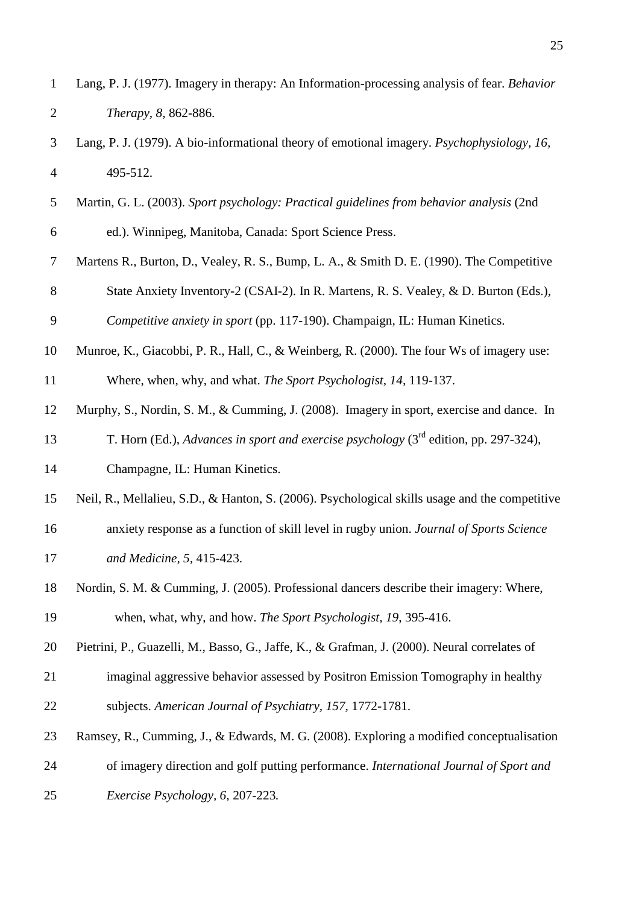| $\mathbf{1}$   | Lang, P. J. (1977). Imagery in therapy: An Information-processing analysis of fear. Behavior     |
|----------------|--------------------------------------------------------------------------------------------------|
| $\overline{2}$ | Therapy, 8, 862-886.                                                                             |
| 3              | Lang, P. J. (1979). A bio-informational theory of emotional imagery. Psychophysiology, 16,       |
| $\overline{4}$ | 495-512.                                                                                         |
| 5              | Martin, G. L. (2003). Sport psychology: Practical guidelines from behavior analysis (2nd         |
| 6              | ed.). Winnipeg, Manitoba, Canada: Sport Science Press.                                           |
| $\overline{7}$ | Martens R., Burton, D., Vealey, R. S., Bump, L. A., & Smith D. E. (1990). The Competitive        |
| $8\phantom{1}$ | State Anxiety Inventory-2 (CSAI-2). In R. Martens, R. S. Vealey, & D. Burton (Eds.),             |
| 9              | Competitive anxiety in sport (pp. 117-190). Champaign, IL: Human Kinetics.                       |
| 10             | Munroe, K., Giacobbi, P. R., Hall, C., & Weinberg, R. (2000). The four Ws of imagery use:        |
| 11             | Where, when, why, and what. The Sport Psychologist, 14, 119-137.                                 |
| 12             | Murphy, S., Nordin, S. M., & Cumming, J. (2008). Imagery in sport, exercise and dance. In        |
| 13             | T. Horn (Ed.), Advances in sport and exercise psychology (3 <sup>rd</sup> edition, pp. 297-324), |
| 14             | Champagne, IL: Human Kinetics.                                                                   |
| 15             | Neil, R., Mellalieu, S.D., & Hanton, S. (2006). Psychological skills usage and the competitive   |
| 16             | anxiety response as a function of skill level in rugby union. Journal of Sports Science          |
| 17             | and Medicine, 5, 415-423.                                                                        |
| 18             | Nordin, S. M. & Cumming, J. (2005). Professional dancers describe their imagery: Where,          |
| 19             | when, what, why, and how. The Sport Psychologist, 19, 395-416.                                   |
| 20             | Pietrini, P., Guazelli, M., Basso, G., Jaffe, K., & Grafman, J. (2000). Neural correlates of     |
| 21             | imaginal aggressive behavior assessed by Positron Emission Tomography in healthy                 |
| 22             | subjects. American Journal of Psychiatry, 157, 1772-1781.                                        |
| 23             | Ramsey, R., Cumming, J., & Edwards, M. G. (2008). Exploring a modified conceptualisation         |
| 24             | of imagery direction and golf putting performance. International Journal of Sport and            |
| 25             | Exercise Psychology, 6, 207-223.                                                                 |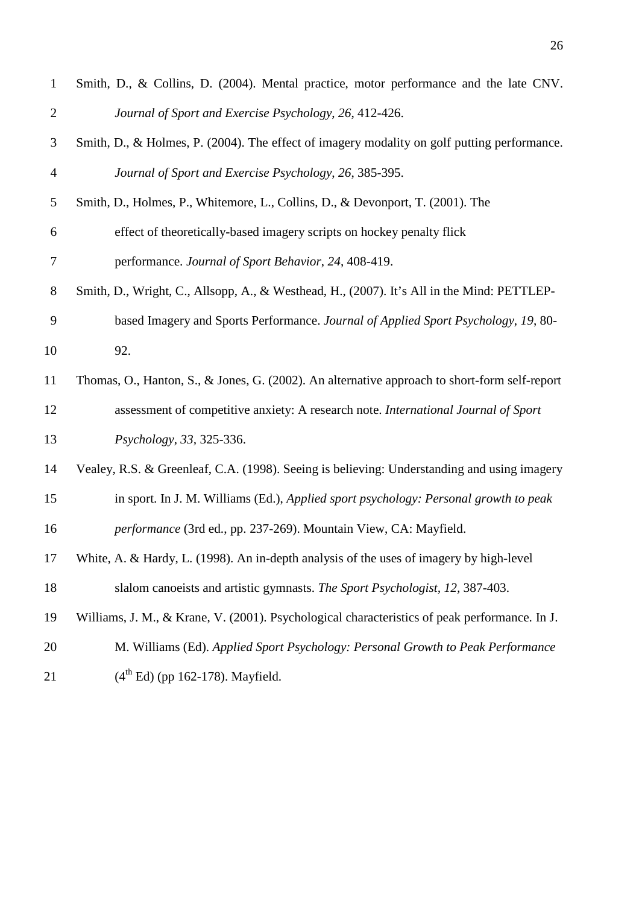| $\mathbf{1}$   | Smith, D., & Collins, D. (2004). Mental practice, motor performance and the late CNV.         |
|----------------|-----------------------------------------------------------------------------------------------|
| $\overline{2}$ | Journal of Sport and Exercise Psychology, 26, 412-426.                                        |
| 3              | Smith, D., & Holmes, P. (2004). The effect of imagery modality on golf putting performance.   |
| $\overline{4}$ | Journal of Sport and Exercise Psychology, 26, 385-395.                                        |
| 5              | Smith, D., Holmes, P., Whitemore, L., Collins, D., & Devonport, T. (2001). The                |
| 6              | effect of theoretically-based imagery scripts on hockey penalty flick                         |
| $\tau$         | performance. Journal of Sport Behavior, 24, 408-419.                                          |
| $8\phantom{1}$ | Smith, D., Wright, C., Allsopp, A., & Westhead, H., (2007). It's All in the Mind: PETTLEP-    |
| 9              | based Imagery and Sports Performance. Journal of Applied Sport Psychology, 19, 80-            |
| 10             | 92.                                                                                           |
| 11             | Thomas, O., Hanton, S., & Jones, G. (2002). An alternative approach to short-form self-report |
| 12             | assessment of competitive anxiety: A research note. International Journal of Sport            |
| 13             | Psychology, 33, 325-336.                                                                      |
| 14             | Vealey, R.S. & Greenleaf, C.A. (1998). Seeing is believing: Understanding and using imagery   |
| 15             | in sport. In J. M. Williams (Ed.), Applied sport psychology: Personal growth to peak          |
| 16             | performance (3rd ed., pp. 237-269). Mountain View, CA: Mayfield.                              |
| 17             | White, A. & Hardy, L. (1998). An in-depth analysis of the uses of imagery by high-level       |
| 18             | slalom canoeists and artistic gymnasts. The Sport Psychologist, 12, 387-403.                  |
| 19             | Williams, J. M., & Krane, V. (2001). Psychological characteristics of peak performance. In J. |
| 20             | M. Williams (Ed). Applied Sport Psychology: Personal Growth to Peak Performance               |
| 21             | $(4th Ed)$ (pp 162-178). Mayfield.                                                            |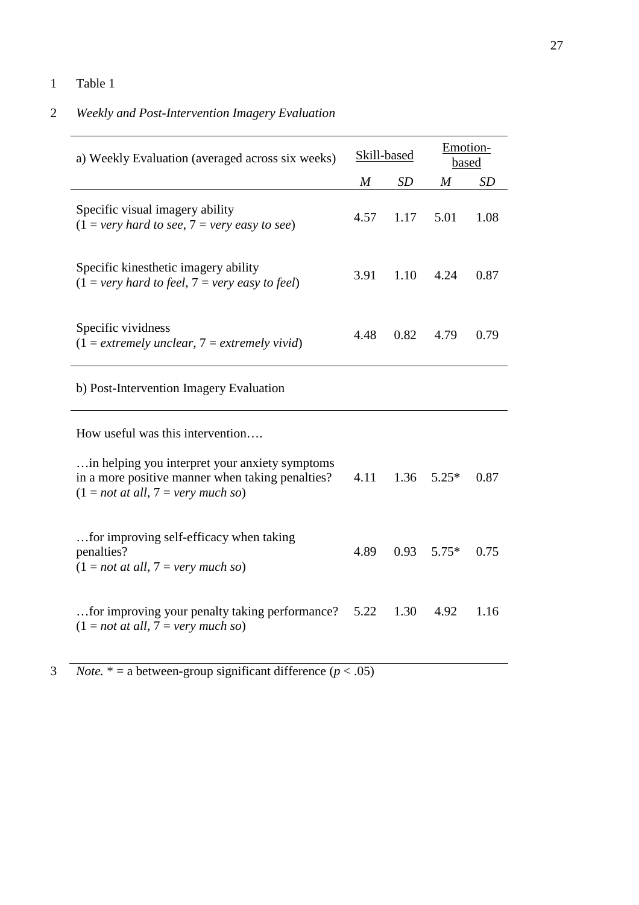## 1 Table 1

## 2 *Weekly and Post-Intervention Imagery Evaluation*

| a) Weekly Evaluation (averaged across six weeks)                                                                                            | Skill-based      |           | Emotion-<br>based |           |
|---------------------------------------------------------------------------------------------------------------------------------------------|------------------|-----------|-------------------|-----------|
|                                                                                                                                             | $\boldsymbol{M}$ | <b>SD</b> | $\boldsymbol{M}$  | <b>SD</b> |
| Specific visual imagery ability<br>$(1 = \text{very hard to see}, 7 = \text{very easy to see})$                                             | 4.57             | 1.17      | 5.01              | 1.08      |
| Specific kinesthetic imagery ability<br>$(1 = very hard to feel, 7 = very easy to feel)$                                                    | 3.91             | 1.10      | 4.24              | 0.87      |
| Specific vividness<br>$(1 = extremely unclear, 7 = extremely vivid)$                                                                        | 4.48             | 0.82      | 4.79              | 0.79      |
| b) Post-Intervention Imagery Evaluation                                                                                                     |                  |           |                   |           |
| How useful was this intervention                                                                                                            |                  |           |                   |           |
| in helping you interpret your anxiety symptoms.<br>in a more positive manner when taking penalties?<br>$(1 = not at all, 7 = very much so)$ | 4.11             | 1.36      | $5.25*$           | 0.87      |
| for improving self-efficacy when taking<br>penalties?<br>$(1 = not at all, 7 = very much so)$                                               | 4.89             | 0.93      | $5.75*$           | 0.75      |
| for improving your penalty taking performance?<br>$(1 = not at all, 7 = very much so)$                                                      |                  | 1.30      | 4.92              | 1.16      |

3 *Note.*  $* =$  a between-group significant difference  $(p < .05)$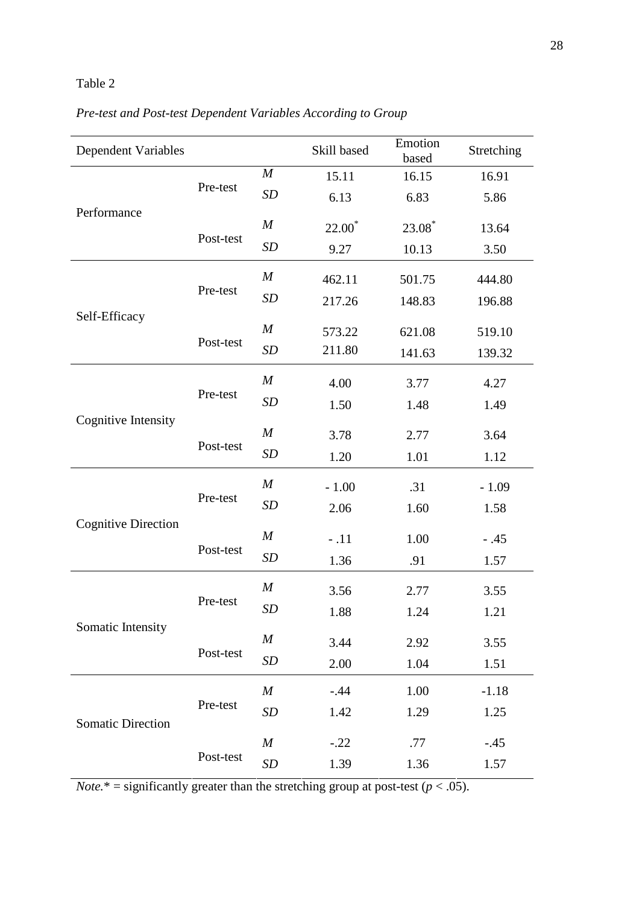# Table 2

| Pre-test and Post-test Dependent Variables According to Group |  |
|---------------------------------------------------------------|--|
|---------------------------------------------------------------|--|

| <b>Dependent Variables</b> |           |                  | Skill based | Emotion<br>based   | Stretching |
|----------------------------|-----------|------------------|-------------|--------------------|------------|
|                            | Pre-test  | $\boldsymbol{M}$ | 15.11       | 16.15              | 16.91      |
| Performance                |           | SD               | 6.13        | 6.83               | 5.86       |
|                            | Post-test | $\boldsymbol{M}$ | $22.00^*$   | 23.08 <sup>*</sup> | 13.64      |
|                            |           | SD               | 9.27        | 10.13              | 3.50       |
|                            | Pre-test  | $\boldsymbol{M}$ | 462.11      | 501.75             | 444.80     |
|                            |           | <b>SD</b>        | 217.26      | 148.83             | 196.88     |
| Self-Efficacy              | Post-test | $\boldsymbol{M}$ | 573.22      | 621.08             | 519.10     |
|                            |           | SD               | 211.80      | 141.63             | 139.32     |
|                            | Pre-test  | $\boldsymbol{M}$ | 4.00        | 3.77               | 4.27       |
|                            |           | <b>SD</b>        | 1.50        | 1.48               | 1.49       |
| <b>Cognitive Intensity</b> | Post-test | $\boldsymbol{M}$ | 3.78        | 2.77               | 3.64       |
|                            |           | <b>SD</b>        | 1.20        | 1.01               | 1.12       |
|                            |           | $\boldsymbol{M}$ | $-1.00$     | .31                | $-1.09$    |
|                            | Pre-test  | <b>SD</b>        | 2.06        | 1.60               | 1.58       |
| <b>Cognitive Direction</b> | Post-test | $\boldsymbol{M}$ | $-.11$      | 1.00               | $-.45$     |
|                            |           | SD               | 1.36        | .91                | 1.57       |
|                            |           | $\boldsymbol{M}$ | 3.56        | 2.77               | 3.55       |
|                            | Pre-test  | <b>SD</b>        | 1.88        | 1.24               | 1.21       |
| Somatic Intensity          | Post-test | $\boldsymbol{M}$ | 3.44        | 2.92               | 3.55       |
|                            |           | <b>SD</b>        | 2.00        | 1.04               | 1.51       |
|                            | Pre-test  | $\boldsymbol{M}$ | $-0.44$     | 1.00               | $-1.18$    |
| <b>Somatic Direction</b>   |           | <b>SD</b>        | 1.42        | 1.29               | 1.25       |
|                            | Post-test | $\boldsymbol{M}$ | $-.22$      | .77                | $-.45$     |
|                            |           | <b>SD</b>        | 1.39        | 1.36               | 1.57       |

*Note.*\* = significantly greater than the stretching group at post-test ( $p < .05$ ).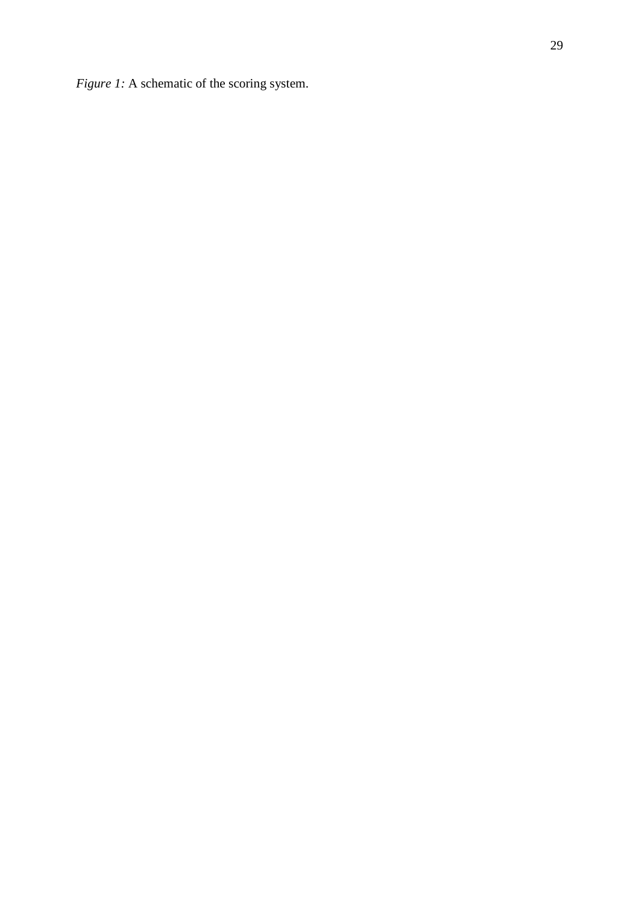*Figure 1:* A schematic of the scoring system.